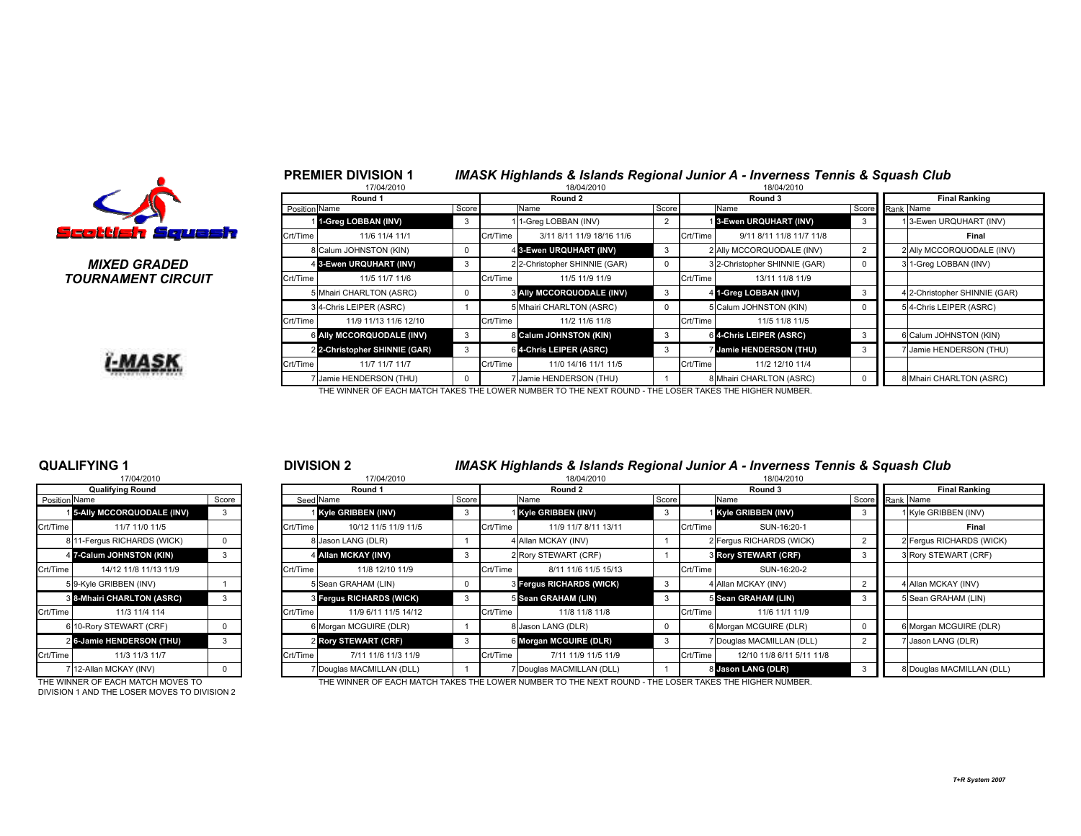

PREMIER DIVISION 1

#### MIXED GRADEDTOURNAMENT CIRCUIT



|       |               | 17/04/2010                                                                                             |       |          | 18/04/2010                       |                |          | 18/04/2010                     |                |                      |                               |  |  |  |
|-------|---------------|--------------------------------------------------------------------------------------------------------|-------|----------|----------------------------------|----------------|----------|--------------------------------|----------------|----------------------|-------------------------------|--|--|--|
|       |               | Round 1                                                                                                |       |          | Round 2                          |                |          | Round 3                        |                | <b>Final Ranking</b> |                               |  |  |  |
|       | Position Name |                                                                                                        | Score |          | Name                             | Score          |          | Name                           |                | Score Rank Name      |                               |  |  |  |
|       |               | 1-Greg LOBBAN (INV)                                                                                    |       |          | 11-Greg LOBBAN (INV)             | $\overline{2}$ |          | 13-Ewen URQUHART (INV)         |                |                      | 13-Ewen URQUHART (INV)        |  |  |  |
| Wash  | Crt/Time      | 11/6 11/4 11/1                                                                                         |       | Crt/Time | 3/11 8/11 11/9 18/16 11/6        |                | Crt/Time | 9/11 8/11 11/8 11/7 11/8       |                |                      | Final                         |  |  |  |
|       |               | 8 Calum JOHNSTON (KIN)                                                                                 |       |          | 4 3-Ewen URQUHART (INV)          | 3              |          | 2 Ally MCCORQUODALE (INV)      | $\overline{2}$ |                      | 2 Ally MCCORQUODALE (INV)     |  |  |  |
| D     |               | 4 3-Ewen URQUHART (INV)                                                                                |       |          | 2 2-Christopher SHINNIE (GAR)    | 0              |          | 3 2-Christopher SHINNIE (GAR)  | $\Omega$       |                      | 3 1-Greg LOBBAN (INV)         |  |  |  |
| ?CUIT | Crt/Time      | 11/5 11/7 11/6                                                                                         |       | Crt/Time | 11/5 11/9 11/9                   |                | Crt/Time | 13/11 11/8 11/9                |                |                      |                               |  |  |  |
|       |               | 5 Mhairi CHARLTON (ASRC)                                                                               |       |          | <b>3 Ally MCCORQUODALE (INV)</b> | 3              |          | 4 1-Greg LOBBAN (INV)          |                |                      | 4 2-Christopher SHINNIE (GAR) |  |  |  |
|       |               | 34-Chris LEIPER (ASRC)                                                                                 |       |          | 5 Mhairi CHARLTON (ASRC)         | 0              |          | 5 Calum JOHNSTON (KIN)         | $\Omega$       |                      | 54-Chris LEIPER (ASRC)        |  |  |  |
|       | Crt/Time      | 11/9 11/13 11/6 12/10                                                                                  |       | Crt/Time | 11/2 11/6 11/8                   |                | Crt/Time | 11/5 11/8 11/5                 |                |                      |                               |  |  |  |
|       |               | 6 Ally MCCORQUODALE (INV)                                                                              | 3     |          | 8 Calum JOHNSTON (KIN)           | 3              |          | 6 4-Chris LEIPER (ASRC)        |                |                      | 6 Calum JOHNSTON (KIN)        |  |  |  |
|       |               | 2 2-Christopher SHINNIE (GAR)                                                                          |       |          | 6 4-Chris LEIPER (ASRC)          | 3              |          | <b>7 Jamie HENDERSON (THU)</b> |                |                      | 7 Jamie HENDERSON (THU)       |  |  |  |
|       | Crt/Time      | 11/7 11/7 11/7                                                                                         |       | Crt/Time | 11/0 14/16 11/1 11/5             |                | Crt/Time | 11/2 12/10 11/4                |                |                      |                               |  |  |  |
|       |               | Jamie HENDERSON (THU)                                                                                  |       |          | Jamie HENDERSON (THU)            |                |          | 8 Mhairi CHARLTON (ASRC)       |                |                      | 8 Mhairi CHARLTON (ASRC)      |  |  |  |
|       |               | THE WINNER OF EACH MATCH TAKES THE LOWER NUMBER TO THE NEXT ROUND - THE LOSER TAKES THE HIGHER NUMBER. |       |          |                                  |                |          |                                |                |                      |                               |  |  |  |

IMASK Highlands & Islands Regional Junior A - Inverness Tennis & Squash Club

#### QUALIFYING 117/04/2010

|                      | <b>Qualifying Round</b>     |       |
|----------------------|-----------------------------|-------|
| <b>Position Name</b> |                             | Score |
|                      | 5-Ally MCCORQUODALE (INV)   | 3     |
| Crt/Time             | 11/7 11/0 11/5              |       |
|                      | 8 11-Fergus RICHARDS (WICK) | 0     |
| 4                    | 7-Calum JOHNSTON (KIN)      | 3     |
| Crt/Time             | 14/12 11/8 11/13 11/9       |       |
|                      | 5 9-Kyle GRIBBEN (INV)      |       |
|                      | 8 8-Mhairi CHARLTON (ASRC)  | 3     |
| Crt/Time             | 11/3 11/4 114               |       |
| 6                    | 10-Rory STEWART (CRF)       | 0     |
| $\overline{2}$       | 6-Jamie HENDERSON (THU)     | 3     |
| Crt/Time             | 11/3 11/3 11/7              |       |
|                      | 12-Allan MCKAY (INV)        | n     |

DIVISION 1 AND THE LOSER MOVES TO DIVISION 2

## DIVISION 2 IMASK Highlands & Islands Regional Junior A - Inverness Tennis & Squash Club

| 17/04/2010<br>17/04/2010 |                                   |    |  |                    |                           |         |          | 18/04/2010                      |              |          | 18/04/2010                  |                      |                           |
|--------------------------|-----------------------------------|----|--|--------------------|---------------------------|---------|----------|---------------------------------|--------------|----------|-----------------------------|----------------------|---------------------------|
| <b>Qualifying Round</b>  |                                   |    |  | Round 1            |                           | Round 2 |          |                                 | Round 3      |          |                             | <b>Final Ranking</b> |                           |
| Position Name<br>Score   |                                   |    |  | Seed Name<br>Score |                           |         | Name     | Score                           |              | Name     |                             | Score Rank Name      |                           |
|                          | <b>15-Ally MCCORQUODALE (INV)</b> | -3 |  |                    | Kyle GRIBBEN (INV)        |         |          | 1 Kyle GRIBBEN (INV)            | 3            |          | Kyle GRIBBEN (INV)          |                      | 1 Kyle GRIBBEN (INV)      |
| Crt/Time                 | 11/7 11/0 11/5                    |    |  | Crt/Time           | 10/12 11/5 11/9 11/5      |         | Crt/Time | 11/9 11/7 8/11 13/11            |              | Crt/Time | SUN-16:20-1                 |                      | Final                     |
|                          | 8 11-Fergus RICHARDS (WICK)       |    |  |                    | 8 Jason LANG (DLR)        |         |          | 4 Allan MCKAY (INV)             |              |          | 2 Fergus RICHARDS (WICK)    |                      | 2 Fergus RICHARDS (WICK)  |
|                          | 4 7-Calum JOHNSTON (KIN)          |    |  |                    | 4 Allan MCKAY (INV)       |         |          | 2 Rory STEWART (CRF)            |              |          | <b>8 Rory STEWART (CRF)</b> |                      | 3 Rory STEWART (CRF)      |
| Crt/Time                 | 14/12 11/8 11/13 11/9             |    |  | Crt/Time           | 11/8 12/10 11/9           |         | Crt/Time | 8/11 11/6 11/5 15/13            |              | Crt/Time | SUN-16:20-2                 |                      |                           |
|                          | 5 9-Kyle GRIBBEN (INV)            |    |  |                    | 5 Sean GRAHAM (LIN)       |         |          | <b>8 Fergus RICHARDS (WICK)</b> | $\mathbf{3}$ |          | 4 Allan MCKAY (INV)         |                      | 4 Allan MCKAY (INV)       |
|                          | <b>3 8-Mhairi CHARLTON (ASRC)</b> |    |  |                    | 3 Fergus RICHARDS (WICK)  |         |          | 5 Sean GRAHAM (LIN)             | 3            |          | 5 Sean GRAHAM (LIN)         |                      | 5 Sean GRAHAM (LIN)       |
| Crt/Time                 | 11/3 11/4 114                     |    |  | Crt/Time           | 11/9 6/11 11/5 14/12      |         | Crt/Time | 11/8 11/8 11/8                  |              | Crt/Time | 11/6 11/1 11/9              |                      |                           |
|                          | 6 10-Rory STEWART (CRF)           |    |  |                    | 6 Morgan MCGUIRE (DLR)    |         |          | 8 Jason LANG (DLR)              | 0            |          | 6 Morgan MCGUIRE (DLR)      |                      | 6 Morgan MCGUIRE (DLR)    |
|                          | 2 6-Jamie HENDERSON (THU)         |    |  |                    | 2 Rory STEWART (CRF)      |         |          | 6 Morgan MCGUIRE (DLR)          | $\mathbf{3}$ |          | 7 Douglas MACMILLAN (DLL)   | 2                    | 7 Jason LANG (DLR)        |
| Crt/Time                 | 11/3 11/3 11/7                    |    |  | Crt/Time           | 7/11 11/6 11/3 11/9       |         | Crt/Time | 7/11 11/9 11/5 11/9             |              | Crt/Time | 12/10 11/8 6/11 5/11 11/8   |                      |                           |
|                          | 7 12-Allan MCKAY (INV)            |    |  |                    | 7 Douglas MACMILLAN (DLL) |         |          | 7 Douglas MACMILLAN (DLL)       |              |          | 8 Jason LANG (DLR)          |                      | 8 Douglas MACMILLAN (DLL) |
|                          |                                   |    |  |                    |                           |         |          |                                 |              |          |                             |                      |                           |

THE WINNER OF EACH MATCH MOVES TO THE WINNER OF EACH MATCH TAKES THE LOWER NUMBER TO THE NEXT ROUND - THE LOSER TAKES THE HIGHER NUMBER.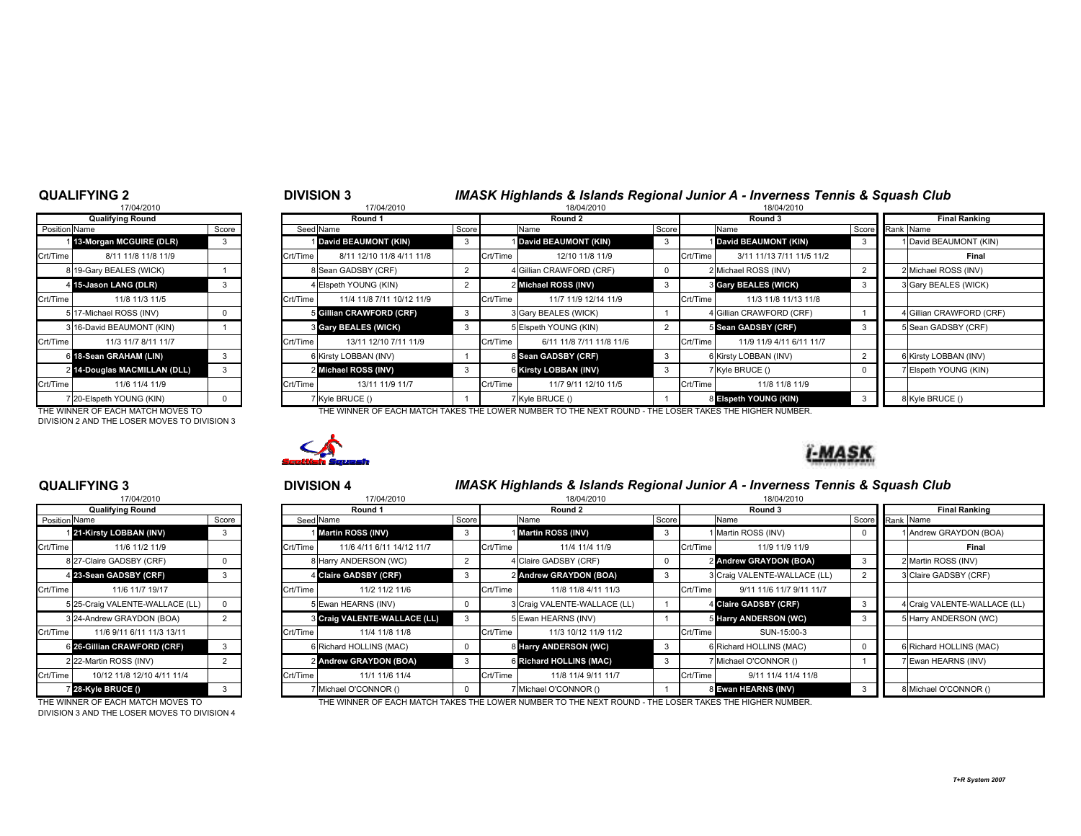### QUALIFYING 2

| 17/04/2010                 |                                                                                       |
|----------------------------|---------------------------------------------------------------------------------------|
| <b>Qualifying Round</b>    |                                                                                       |
|                            | Score                                                                                 |
| 13-Morgan MCGUIRE (DLR)    | 3                                                                                     |
| 8/11 11/8 11/8 11/9        |                                                                                       |
| 19-Gary BEALES (WICK)      | 1                                                                                     |
| 15-Jason LANG (DLR)        | 3                                                                                     |
| 11/8 11/3 11/5             |                                                                                       |
|                            | 0                                                                                     |
| 16-David BEAUMONT (KIN)    |                                                                                       |
| 11/3 11/7 8/11 11/7        |                                                                                       |
| 18-Sean GRAHAM (LIN)       | 3                                                                                     |
| 14-Douglas MACMILLAN (DLL) | 3                                                                                     |
| 11/6 11/4 11/9             |                                                                                       |
| 20-Elspeth YOUNG (KIN)     | n                                                                                     |
| $\overline{2}$             | <b>Position Name</b><br>8<br>4<br>5 17-Michael ROSS (INV)<br>3<br>6<br>$\overline{7}$ |

THE WINNER OF EACH MATCH MOVES TO DIVISION 2 AND THE LOSER MOVES TO DIVISION 3

# <sup>2</sup> <sup>3</sup> DIVISION 3 IMASK Highlands & Islands Regional Junior A - Inverness Tennis & Squash Club

|               | 17/04/2010                        |       |                 | 17/04/2010                |  | 18/04/2010    |                                                                                                        |       |          | 18/04/2010                  |   |                        |  |  |
|---------------|-----------------------------------|-------|-----------------|---------------------------|--|---------------|--------------------------------------------------------------------------------------------------------|-------|----------|-----------------------------|---|------------------------|--|--|
|               | <b>Qualifying Round</b>           |       |                 | Round 1                   |  |               | Round 2                                                                                                |       |          | Round 3                     |   | <b>Final Ranking</b>   |  |  |
| Position Name |                                   | Score |                 | Seed Name                 |  | Score<br>Name |                                                                                                        | Score | Name     |                             |   | Score Rank Name        |  |  |
|               | 113-Morgan MCGUIRE (DLR)          |       |                 | David BEAUMONT (KIN)      |  |               | David BEAUMONT (KIN)                                                                                   |       |          | 1 David BEAUMONT (KIN)      |   | David BEAUMONT (KIN)   |  |  |
| Crt/Time      | 8/11 11/8 11/8 11/9               |       | Crt/Time        | 8/11 12/10 11/8 4/11 11/8 |  | Crt/Time      | 12/10 11/8 11/9                                                                                        |       | Crt/Time | 3/11 11/13 7/11 11/5 11/2   |   | Final                  |  |  |
|               | 8 19-Gary BEALES (WICK)           |       |                 | 8 Sean GADSBY (CRF)       |  |               | 4 Gillian CRAWFORD (CRF)                                                                               |       |          | 2 Michael ROSS (INV)        |   | 2 Michael ROSS (INV)   |  |  |
|               | 4 15-Jason LANG (DLR)             |       |                 | 4 Elspeth YOUNG (KIN)     |  |               | 2 Michael ROSS (INV)                                                                                   |       |          | <b>3 Gary BEALES (WICK)</b> | 3 | 3 Gary BEALES (WICK)   |  |  |
| Crt/Time      | 11/8 11/3 11/5                    |       | <b>Crt/Time</b> | 11/4 11/8 7/11 10/12 11/9 |  | Crt/Time      | 11/7 11/9 12/14 11/9                                                                                   |       | Crt/Time | 11/3 11/8 11/13 11/8        |   |                        |  |  |
|               | 5 17-Michael ROSS (INV)           |       |                 | 5 Gillian CRAWFORD (CRF)  |  |               | 3 Gary BEALES (WICK)                                                                                   |       |          | 4 Gillian CRAWFORD (CRF)    |   | Gillian CRAWFORD (CRF) |  |  |
|               | 3 16-David BEAUMONT (KIN)         |       |                 | 3 Gary BEALES (WICK)      |  |               | 5 Elspeth YOUNG (KIN)                                                                                  |       |          | 5 Sean GADSBY (CRF)         |   | 5 Sean GADSBY (CRF)    |  |  |
| Crt/Time      | 11/3 11/7 8/11 11/7               |       | Crt/Time        | 13/11 12/10 7/11 11/9     |  | Crt/Time      | 6/11 11/8 7/11 11/8 11/6                                                                               |       | Crt/Time | 11/9 11/9 4/11 6/11 11/7    |   |                        |  |  |
|               | 6 18-Sean GRAHAM (LIN)            |       |                 | 6 Kirsty LOBBAN (INV)     |  |               | 8 Sean GADSBY (CRF)                                                                                    |       |          | 6 Kirsty LOBBAN (INV)       |   | Kirsty LOBBAN (INV)    |  |  |
|               | 2 14-Douglas MACMILLAN (DLL)      |       |                 | 2 Michael ROSS (INV)      |  |               | 6 Kirsty LOBBAN (INV)                                                                                  |       |          | 7 Kyle BRUCE ()             |   | 7 Elspeth YOUNG (KIN)  |  |  |
| Crt/Time      | 11/6 11/4 11/9                    |       | Crt/Time        | 13/11 11/9 11/7           |  | Crt/Time      | 11/7 9/11 12/10 11/5                                                                                   |       | Crt/Time | 11/8 11/8 11/9              |   |                        |  |  |
|               | 7 20-Elspeth YOUNG (KIN)          |       |                 | 7 Kyle BRUCE ()           |  |               | 7 Kyle BRUCE ()                                                                                        |       |          | 8 Elspeth YOUNG (KIN)       |   | 8 Kyle BRUCE ()        |  |  |
|               | THE WINNER OF FACH MATCH MOVES TO |       |                 |                           |  |               | THE WINNER OF EACH MATCH TAKES THE LOWER NUMBER TO THE NEXT ROUND - THE LOSER TAKES THE HIGHER NUMBER. |       |          |                             |   |                        |  |  |



# <sup>3</sup> <sup>4</sup> DIVISION 4 IMASK Highlands & Islands Regional Junior A - Inverness Tennis & Squash Club

|               | 17/04/2010                        |       |                 | 17/04/2010                          |       |          | 18/04/2010                                                                                             |       |          |                              |                 |  |                              |  |
|---------------|-----------------------------------|-------|-----------------|-------------------------------------|-------|----------|--------------------------------------------------------------------------------------------------------|-------|----------|------------------------------|-----------------|--|------------------------------|--|
|               | <b>Qualifying Round</b>           |       |                 | Round 1                             |       |          | Round 2                                                                                                |       |          | Round 3                      |                 |  | <b>Final Ranking</b>         |  |
| Position Name |                                   | Score |                 | Seed Name                           | Score |          | Name                                                                                                   | Score |          | Name                         | Score Rank Name |  |                              |  |
|               | 21-Kirsty LOBBAN (INV)            | 3     |                 | Martin ROSS (INV)                   |       |          | Martin ROSS (INV)                                                                                      |       |          | 1 Martin ROSS (INV)          |                 |  | 1 Andrew GRAYDON (BOA)       |  |
| Crt/Time      | 11/6 11/2 11/9                    |       | Crt/Time        | 11/6 4/11 6/11 14/12 11/7           |       | Crt/Time | 11/4 11/4 11/9                                                                                         |       | Crt/Time | 11/9 11/9 11/9               |                 |  | Final                        |  |
|               | 8 27-Claire GADSBY (CRF)          |       |                 | 8 Harry ANDERSON (WC)               |       |          | 4 Claire GADSBY (CRF)                                                                                  |       |          | 2 Andrew GRAYDON (BOA)       |                 |  | 2 Martin ROSS (INV)          |  |
|               | 4 23-Sean GADSBY (CRF)            |       |                 | 4 Claire GADSBY (CRF)               |       |          | 2 Andrew GRAYDON (BOA)                                                                                 |       |          | 3 Craig VALENTE-WALLACE (LL) |                 |  | 3 Claire GADSBY (CRF)        |  |
| Crt/Time      | 11/6 11/7 19/17                   |       | <b>Crt/Time</b> | 11/2 11/2 11/6                      |       | Crt/Time | 11/8 11/8 4/11 11/3                                                                                    |       | Crt/Time | 9/11 11/6 11/7 9/11 11/7     |                 |  |                              |  |
|               | 5 25-Craig VALENTE-WALLACE (LL)   |       |                 | Ewan HEARNS (INV)                   |       |          | 3 Craig VALENTE-WALLACE (LL)                                                                           |       |          | 4 Claire GADSBY (CRF)        |                 |  | 4 Craig VALENTE-WALLACE (LL) |  |
|               | 3 24-Andrew GRAYDON (BOA)         |       |                 | <b>3 Craig VALENTE-WALLACE (LL)</b> |       |          | 5 Ewan HEARNS (INV)                                                                                    |       |          | 5 Harry ANDERSON (WC)        |                 |  | 5 Harry ANDERSON (WC)        |  |
| Crt/Time      | 11/6 9/11 6/11 11/3 13/11         |       | Crt/Time        | 11/4 11/8 11/8                      |       | Crt/Time | 11/3 10/12 11/9 11/2                                                                                   |       | Crt/Time | SUN-15:00-3                  |                 |  |                              |  |
|               | 6 26-Gillian CRAWFORD (CRF)       | 3     |                 | 6 Richard HOLLINS (MAC)             |       |          | 8 Harry ANDERSON (WC)                                                                                  | -3    |          | 6 Richard HOLLINS (MAC)      |                 |  | 6 Richard HOLLINS (MAC)      |  |
|               | 22-Martin ROSS (INV)              |       |                 | 2 Andrew GRAYDON (BOA)              |       |          | 6 Richard HOLLINS (MAC)                                                                                |       |          | 7 Michael O'CONNOR ()        |                 |  | 7 Ewan HEARNS (INV)          |  |
| Crt/Time      | 10/12 11/8 12/10 4/11 11/4        |       | Crt/Time        | 11/1 11/6 11/4                      |       | Crt/Time | 11/8 11/4 9/11 11/7                                                                                    |       | Crt/Time | 9/11 11/4 11/4 11/8          |                 |  |                              |  |
|               | 7 28-Kyle BRUCE ()                |       |                 | Michael O'CONNOR ()                 |       |          | 7 Michael O'CONNOR ()                                                                                  |       |          | 8 Ewan HEARNS (INV)          |                 |  | 8 Michael O'CONNOR ()        |  |
|               | THE WINNER OF EACH MATCH MOVES TO |       |                 |                                     |       |          | THE WINNER OF EACH MATCH TAKES THE LOWER NUMBER TO THE NEXT ROUND - THE LOSER TAKES THE HIGHER NUMBER. |       |          |                              |                 |  |                              |  |

### QUALIFYING 3

|               | 17/04/2010                    |                |
|---------------|-------------------------------|----------------|
|               | <b>Qualifying Round</b>       |                |
| Position Name |                               | Score          |
|               | 121-Kirsty LOBBAN (INV)       | 3              |
| Crt/Time      | 11/6 11/2 11/9                |                |
|               | 8 27-Claire GADSBY (CRF)      | 0              |
|               | 4 23-Sean GADSBY (CRF)        | 3              |
| Crt/Time      | 11/6 11/7 19/17               |                |
| 5             | 25-Craig VALENTE-WALLACE (LL) | 0              |
|               | 3 24-Andrew GRAYDON (BOA)     | 2              |
| Crt/Time      | 11/6 9/11 6/11 11/3 13/11     |                |
| 6             | 26-Gillian CRAWFORD (CRF)     | 3              |
|               | 2 22-Martin ROSS (INV)        | $\overline{2}$ |
| Crt/Time      | 10/12 11/8 12/10 4/11 11/4    |                |
|               | 728-Kyle BRUCE ()             | 3              |

DIVISION 3 AND THE LOSER MOVES TO DIVISION 4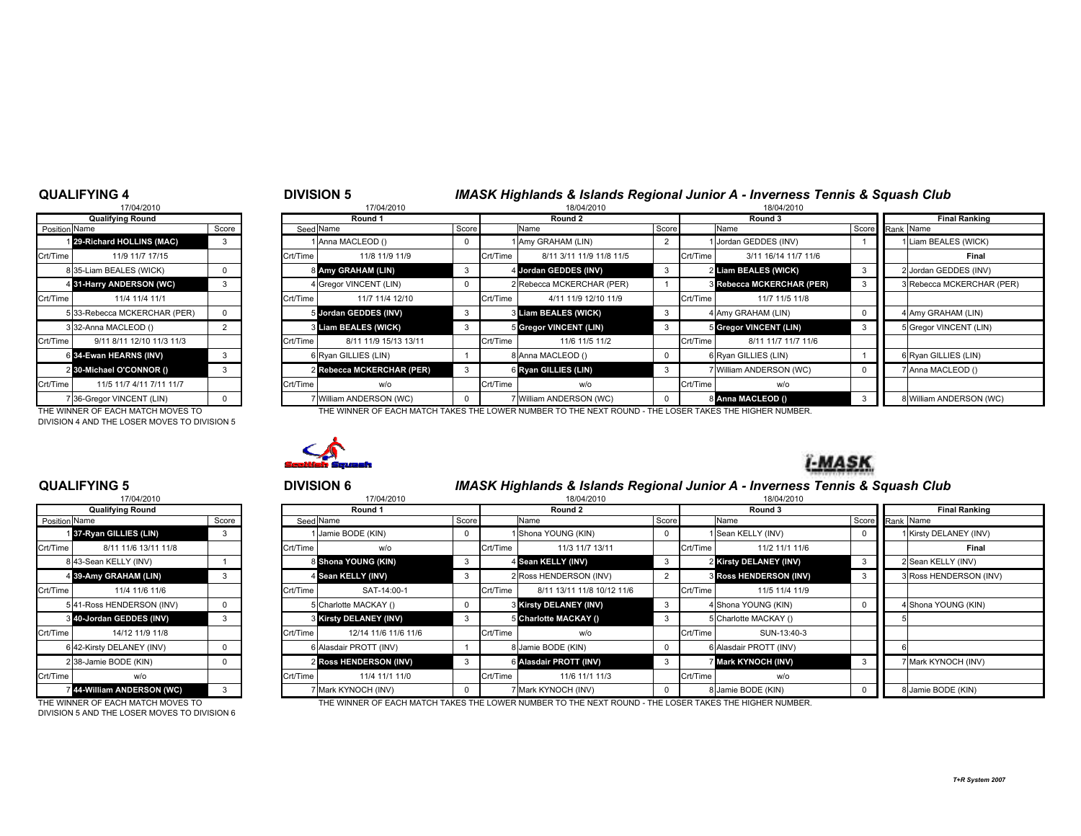#### QUALIFYING 4

# 17/04/2010Qualifying Round**Position** Name 14 31-Harry ANDERSON (WC) 6 34-Ewan HEARNS (INV) 2 30-Michael O'CONNOR ()

DIVISION 4 AND THE LOSER MOVES TO DIVISION 5

### DIVISION 5 **IMASK Highlands & Islands Regional Junior A - Inverness Tennis & Squash Club**<br>18/04/2010 **18/04/2010** 0 17/04/2010 18/04/2010 18/04/2010 d Round 3 Round 1 Round 1 Round 2 Round 2 Round 2 Round 3 Round 3 Round 3 Round 3 Round 2 Round 3 Round 2 Roun n Name Score Score Seed Name Seed Name Score Name Score Name Score Name Score Name Score Rank Name

| <b>POSITION INAILIE</b> |                                    | ocule |          | Seed Ivalue               | <b>POCULE</b> |          | <b>INQUIL</b>                                                                                         | <b>POOL</b> |          | ιναιιισ                   | <b>SCOLE</b> Ralik INSILIE |
|-------------------------|------------------------------------|-------|----------|---------------------------|---------------|----------|-------------------------------------------------------------------------------------------------------|-------------|----------|---------------------------|----------------------------|
|                         | 29-Richard HOLLINS (MAC)           |       |          | 1 Anna MACLEOD ()         |               |          | 1 Amy GRAHAM (LIN)                                                                                    |             |          | 1 Jordan GEDDES (INV)     | 1 Liam BEALES (WICK)       |
| Crt/Time                | 11/9 11/7 17/15                    |       | Crt/Time | 11/8 11/9 11/9            |               | Crt/Time | 8/11 3/11 11/9 11/8 11/5                                                                              |             | Crt/Time | 3/11 16/14 11/7 11/6      | Final                      |
|                         | 835-Liam BEALES (WICK)             |       |          | 8 Amy GRAHAM (LIN)        |               |          | 4 Jordan GEDDES (INV)                                                                                 |             |          | 2 Liam BEALES (WICK)      | 2 Jordan GEDDES (INV)      |
|                         | 4 31-Harry ANDERSON (WC)           |       |          | 4 Gregor VINCENT (LIN)    |               |          | 2 Rebecca MCKERCHAR (PER)                                                                             |             |          | 3 Rebecca MCKERCHAR (PER) | 3 Rebecca MCKERCHAR (PER)  |
| Crt/Time                | 11/4 11/4 11/1                     |       | Crt/Time | 11/7 11/4 12/10           |               | Crt/Time | 4/11 11/9 12/10 11/9                                                                                  |             | Crt/Time | 11/7 11/5 11/8            |                            |
|                         | 5 33-Rebecca MCKERCHAR (PER)       |       |          | 5 Jordan GEDDES (INV)     |               |          | 3 Liam BEALES (WICK)                                                                                  |             |          | 4 Amy GRAHAM (LIN)        | 4 Amy GRAHAM (LIN)         |
|                         | 332-Anna MACLEOD ()                |       |          | 3 Liam BEALES (WICK)      |               |          | 5 Gregor VINCENT (LIN)                                                                                |             |          | 5 Gregor VINCENT (LIN)    | 5 Gregor VINCENT (LIN)     |
| Crt/Time                | 9/11 8/11 12/10 11/3 11/3          |       | Crt/Time | 8/11 11/9 15/13 13/11     |               | Crt/Time | 11/6 11/5 11/2                                                                                        |             | Crt/Time | 8/11 11/7 11/7 11/6       |                            |
|                         | 6 34-Ewan HEARNS (INV)             |       |          | 6 Ryan GILLIES (LIN)      |               |          | 8 Anna MACLEOD ()                                                                                     |             |          | 6 Ryan GILLIES (LIN)      | 6 Ryan GILLIES (LIN)       |
|                         | 2 30-Michael O'CONNOR ()           |       |          | 2 Rebecca MCKERCHAR (PER) |               |          | 6 Ryan GILLIES (LIN)                                                                                  |             |          | 7 William ANDERSON (WC)   | 7 Anna MACLEOD ()          |
| Crt/Time                | 11/5 11/7 4/11 7/11 11/7           |       | Crt/Time | w/o                       |               | Crt/Time | w/o                                                                                                   |             | Crt/Time | w/o                       |                            |
|                         | 7 36-Gregor VINCENT (LIN)          |       |          | 7 William ANDERSON (WC)   |               |          | 7 William ANDERSON (WC)                                                                               |             |          | 8 Anna MACLEOD ()         | 8 William ANDERSON (WC)    |
|                         | THE MININER OF EACH MATCH MOVED TO |       |          |                           |               |          | THE WINNER OF EACH MATCH TAKES THE LOMER NUMBER TO THE MEVER ROUND. THE LOCER TAKES THE HIGHER NUMBER |             |          |                           |                            |

THE WINNER OF EACH MATCH MOVES TO THE THE WINNER OF EACH MATCH TAKES THE LOWER NUMBER TO THE NEXT ROUND - THE LOSER TAKES THE HIGHER NUMBER.



# **I-MASK**

#### QUALIFYING 5

|                | 17/04/2010               |       |
|----------------|--------------------------|-------|
|                | <b>Qualifying Round</b>  |       |
| Position Name  |                          | Score |
| 1 <sup>1</sup> | 37-Ryan GILLIES (LIN)    | 3     |
| Crt/Time       | 8/11 11/6 13/11 11/8     |       |
|                | 8 43-Sean KELLY (INV)    |       |
| 4              | 39-Amy GRAHAM (LIN)      | 3     |
| Crt/Time       | 11/4 11/6 11/6           |       |
|                | 541-Ross HENDERSON (INV) | 0     |
| 3              | 40-Jordan GEDDES (INV)   | 3     |
| Crt/Time       | 14/12 11/9 11/8          |       |
| 6              | 42-Kirsty DELANEY (INV)  | 0     |
|                | 2 38-Jamie BODE (KIN)    | 0     |
| Crt/Time       | w/o                      |       |
| 7              | 44-William ANDERSON (WC) | 3     |

DIVISION 5 AND THE LOSER MOVES TO DIVISION 6

# <sup>5</sup> <sup>6</sup> DIVISION 6 IMASK Highlands & Islands Regional Junior A - Inverness Tennis & Squash Club

| 17/04/2010<br>17/04/2010 |                           |  |  |           |                        |       |          | 18/04/2010                 |          |          |                               |                      |  |                        |
|--------------------------|---------------------------|--|--|-----------|------------------------|-------|----------|----------------------------|----------|----------|-------------------------------|----------------------|--|------------------------|
|                          | <b>Qualifying Round</b>   |  |  |           | Round 1                |       |          | Round 2                    |          |          | Round 3                       | <b>Final Ranking</b> |  |                        |
| Position Name<br>Score   |                           |  |  | Seed Name |                        | Score |          | Name                       | Score    | Name     |                               | Score Rank Name      |  |                        |
|                          | 137-Ryan GILLIES (LIN)    |  |  |           | Jamie BODE (KIN)       |       |          | Shona YOUNG (KIN)          | $\Omega$ |          | Sean KELLY (INV)              |                      |  | 1 Kirsty DELANEY (INV) |
| Crt/Time                 | 8/11 11/6 13/11 11/8      |  |  | Crt/Time  | w/o                    |       | Crt/Time | 11/3 11/7 13/11            |          | Crt/Time | 11/2 11/1 11/6                |                      |  | Final                  |
|                          | 8 43-Sean KELLY (INV)     |  |  |           | 8 Shona YOUNG (KIN)    | -3    |          | 4 Sean KELLY (INV)         | 3        |          | 2 Kirsty DELANEY (INV)        |                      |  | 2 Sean KELLY (INV)     |
|                          | 4 39-Amy GRAHAM (LIN)     |  |  |           | 4 Sean KELLY (INV)     | -3    |          | 2 Ross HENDERSON (INV)     |          |          | <b>3 Ross HENDERSON (INV)</b> |                      |  | 3 Ross HENDERSON (INV) |
| Crt/Time                 | 11/4 11/6 11/6            |  |  | Crt/Time  | SAT-14:00-1            |       | Crt/Time | 8/11 13/11 11/8 10/12 11/6 |          | Crt/Time | 11/5 11/4 11/9                |                      |  |                        |
|                          | 541-Ross HENDERSON (INV)  |  |  |           | 5 Charlotte MACKAY ()  |       |          | 3 Kirsty DELANEY (INV)     |          |          | 4 Shona YOUNG (KIN)           |                      |  | 4 Shona YOUNG (KIN)    |
|                          | 3 40-Jordan GEDDES (INV)  |  |  |           | 3 Kirsty DELANEY (INV) |       |          | 5 Charlotte MACKAY ()      |          |          | 5 Charlotte MACKAY ()         |                      |  |                        |
| Crt/Time                 | 14/12 11/9 11/8           |  |  | Crt/Time  | 12/14 11/6 11/6 11/6   |       | Crt/Time | w/o                        |          | Crt/Time | SUN-13:40-3                   |                      |  |                        |
|                          | 6 42-Kirsty DELANEY (INV) |  |  |           | 6 Alasdair PROTT (INV) |       |          | 8 Jamie BODE (KIN)         |          |          | 6 Alasdair PROTT (INV)        |                      |  |                        |
|                          | 2 38-Jamie BODE (KIN)     |  |  |           | 2 Ross HENDERSON (INV) |       |          | 6 Alasdair PROTT (INV)     |          |          | Mark KYNOCH (INV)             |                      |  | 7 Mark KYNOCH (INV)    |
| Crt/Time                 | w/o                       |  |  | Crt/Time  | 11/4 11/1 11/0         |       | Crt/Time | 11/6 11/1 11/3             |          | Crt/Time | w/o                           |                      |  |                        |
|                          | 44-William ANDERSON (WC)  |  |  |           | 7 Mark KYNOCH (INV)    |       |          | Mark KYNOCH (INV)          |          |          | 8 Jamie BODE (KIN)            |                      |  | 8 Jamie BODE (KIN)     |

THE WINNER OF EACH MATCH MOVES TO THE WINNER OF EACH MATCH TAKES THE LOWER NUMBER TO THE NEXT ROUND - THE LOSER TAKES THE HIGHER NUMBER.